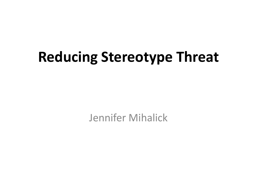# **Reducing Stereotype Threat**

Jennifer Mihalick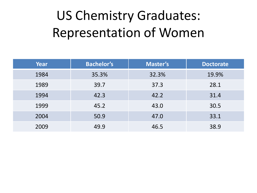### US Chemistry Graduates: Representation of Women

| Year | <b>Bachelor's</b> | <b>Master's</b> | <b>Doctorate</b> |
|------|-------------------|-----------------|------------------|
| 1984 | 35.3%             | 32.3%           | 19.9%            |
| 1989 | 39.7              | 37.3            | 28.1             |
| 1994 | 42.3              | 42.2            | 31.4             |
| 1999 | 45.2              | 43.0            | 30.5             |
| 2004 | 50.9              | 47.0            | 33.1             |
| 2009 | 49.9              | 46.5            | 38.9             |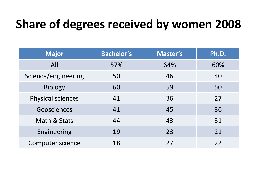### **Share of degrees received by women 2008**

| <b>Major</b>             | <b>Bachelor's</b> | <b>Master's</b> | Ph.D. |
|--------------------------|-------------------|-----------------|-------|
| All                      | 57%               | 64%             | 60%   |
| Science/engineering      | 50                | 46              | 40    |
| <b>Biology</b>           | 60                | 59              | 50    |
| <b>Physical sciences</b> | 41                | 36              | 27    |
| Geosciences              | 41                | 45              | 36    |
| Math & Stats             | 44                | 43              | 31    |
| Engineering              | 19                | 23              | 21    |
| <b>Computer science</b>  | 18                | 27              | 22    |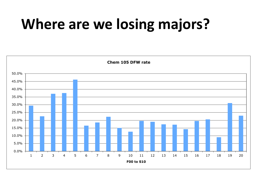# **Where are we losing majors?**

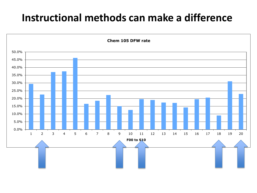#### **Instructional methods can make a difference**

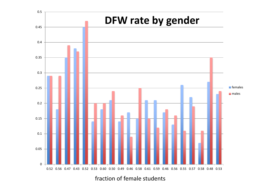

fraction of female students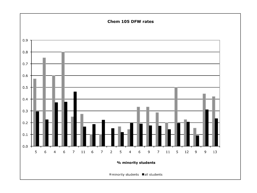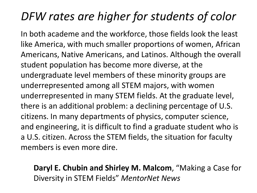### *DFW rates are higher for students of color*

In both academe and the workforce, those fields look the least like America, with much smaller proportions of women, African Americans, Native Americans, and Latinos. Although the overall student population has become more diverse, at the undergraduate level members of these minority groups are underrepresented among all STEM majors, with women underrepresented in many STEM fields. At the graduate level, there is an additional problem: a declining percentage of U.S. citizens. In many departments of physics, computer science, and engineering, it is difficult to find a graduate student who is a U.S. citizen. Across the STEM fields, the situation for faculty members is even more dire.

#### **Daryl E. Chubin and Shirley M. Malcom**, "Making a Case for Diversity in STEM Fields" *MentorNet News*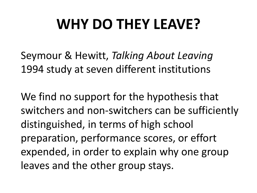# **WHY DO THEY LEAVE?**

Seymour & Hewitt, *Talking About Leaving*  1994 study at seven different institutions

We find no support for the hypothesis that switchers and non-switchers can be sufficiently distinguished, in terms of high school preparation, performance scores, or effort expended, in order to explain why one group leaves and the other group stays.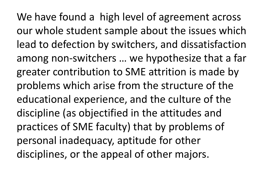We have found a high level of agreement across our whole student sample about the issues which lead to defection by switchers, and dissatisfaction among non-switchers … we hypothesize that a far greater contribution to SME attrition is made by problems which arise from the structure of the educational experience, and the culture of the discipline (as objectified in the attitudes and practices of SME faculty) that by problems of personal inadequacy, aptitude for other disciplines, or the appeal of other majors.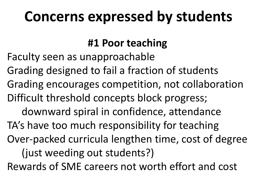# **Concerns expressed by students**

#### **#1 Poor teaching**

Faculty seen as unapproachable

Grading designed to fail a fraction of students

Grading encourages competition, not collaboration Difficult threshold concepts block progress;

downward spiral in confidence, attendance TA's have too much responsibility for teaching Over-packed curricula lengthen time, cost of degree (just weeding out students?)

Rewards of SME careers not worth effort and cost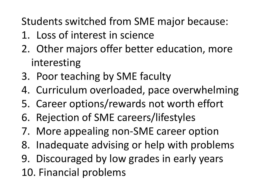Students switched from SME major because:

- 1. Loss of interest in science
- 2. Other majors offer better education, more interesting
- 3. Poor teaching by SME faculty
- 4. Curriculum overloaded, pace overwhelming
- 5. Career options/rewards not worth effort
- 6. Rejection of SME careers/lifestyles
- 7. More appealing non-SME career option
- 8. Inadequate advising or help with problems
- 9. Discouraged by low grades in early years
- 10. Financial problems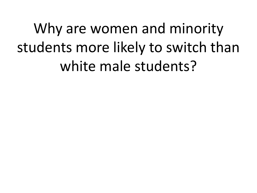Why are women and minority students more likely to switch than white male students?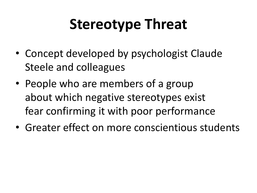# **Stereotype Threat**

- Concept developed by psychologist Claude Steele and colleagues
- People who are members of a group about which negative stereotypes exist fear confirming it with poor performance
- Greater effect on more conscientious students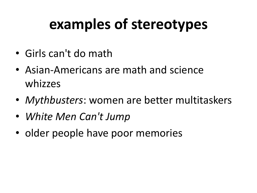# **examples of stereotypes**

- Girls can't do math
- Asian-Americans are math and science whizzes
- *Mythbusters*: women are better multitaskers
- *White Men Can't Jump*
- older people have poor memories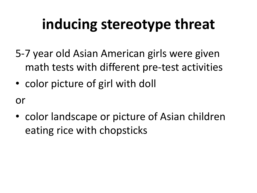# **inducing stereotype threat**

- 5-7 year old Asian American girls were given math tests with different pre-test activities
- color picture of girl with doll

or

• color landscape or picture of Asian children eating rice with chopsticks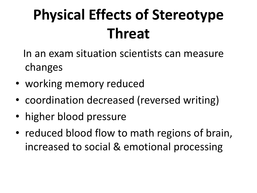# **Physical Effects of Stereotype Threat**

 In an exam situation scientists can measure changes

- working memory reduced
- coordination decreased (reversed writing)
- higher blood pressure
- reduced blood flow to math regions of brain, increased to social & emotional processing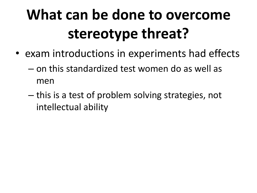# **What can be done to overcome stereotype threat?**

- exam introductions in experiments had effects
	- on this standardized test women do as well as men
	- this is a test of problem solving strategies, not intellectual ability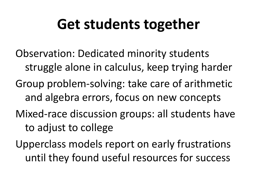### **Get students together**

- Observation: Dedicated minority students struggle alone in calculus, keep trying harder Group problem-solving: take care of arithmetic and algebra errors, focus on new concepts Mixed-race discussion groups: all students have to adjust to college
- Upperclass models report on early frustrations until they found useful resources for success